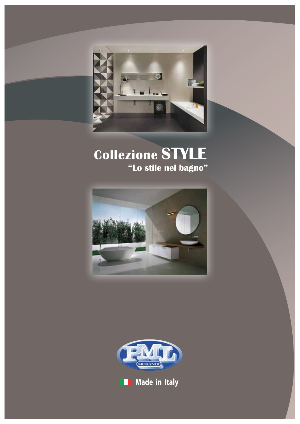

# **Collezione STYLE "Lo stile nel bagno"**





**Made in Italy**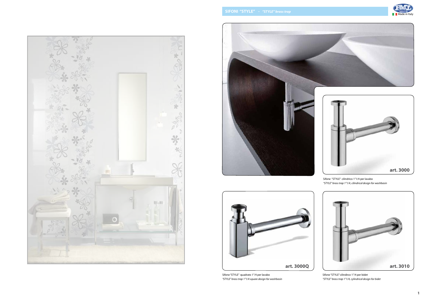

Sifone "STYLE" quadrato 1"/4 per lavabo *"STYLE" brass trap 1"1/4 square design for washbasin*





Sifone "STYLE" cilindrico 1"1/4 per lavabo *"STYLE" brass trap 1"1/4, cilindrical design for washbasin*



Sifone "STYLE" cilindirco 1"/4 per bidet *"STYLE" brass trap 1"1/4, cylindrical design for bidet*

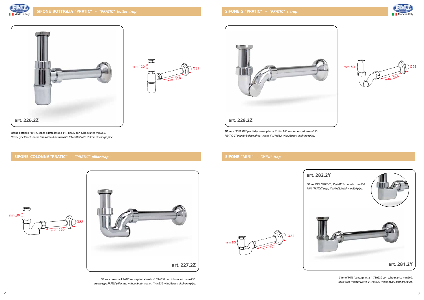

#### **SIFONE COLONNA "PRATIC" -** *"PRATIC" pillar trap*





**SIFONE "MINI" -** *"MINI" trap*





Sifone a colonna PRATIC senza piletta lavabo 1"/4xØ32 con tubo scarico mm250. *Heavy type PRATIC pillar trap without basin waste 1"1/4xØ32 with 250mm discharge pipe.*





*PRATIC "S" trap for bidet without waste, 1"1/4xØ32 with 250mm discharge pipe.*

Sifone "MINI" senza piletta, 1"/4xØ32 con tubo scarico mm200. *"MINI" trap without waste, 1"1/4XØ32 with mm200 discharge pipe.*



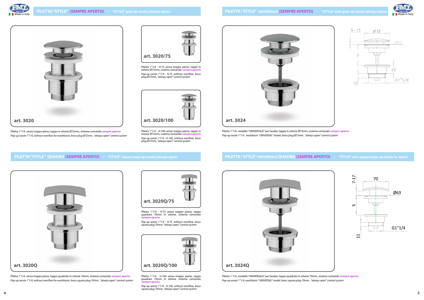Piletta 1"1/4 - H.75 senza troppo pieno, tappo in ottone Ø72mm, sistema comando **sempre aperto** *Pop-up waste 1"1/4 - H.75, without overflow, brass plug Ø72mm, "always open" control system*

Piletta 1"1/4, senza troppo pieno, tappo in ottone Ø72mm, sistema comando **sempre aperto** *Pop-up waste 1"1/4, without overflow for washbasin, brass plug Ø72mm , "always open" control system* Piletta 1"1/4 - H.100 senza troppo pieno, tappo in ottone Ø72mm, sistema comando **sempre aperto** *Pop-up waste 1"1/4 - H.100, without overflow, brass plug Ø72mm, "always open" control system*













Piletta 1"1/4 - H.75 senza troppo pieno, tappo quadrato 70mm in ottone, sistema comando **sempre aperto**

*Pop-up waste 1"1/4 - H.75, without overflow, brass square plug 70mm, "always open" control system*

Piletta 1"1/4, senza troppo pieno, tappo quadrato in ottone 70mm, sistema comando **sempre aperto** *Pop-up waste 1"1/4, without overflow for washbasin, brass square plug 70mm , "always open" control system*



Piletta 1"1/4 - H.100 senza troppo pieno, tappo quadrato 70mm in ottone, sistema comando **sempre aperto**

*Pop-up waste 1"1/4 - H.100, without overflow, brass square plug 70mm, "always open" control system*

Piletta 1"1/4, modello "UNIVERSALE" per lavabo, tappo in ottone Ø72mm, sistema comando **sempre aperto** *Pop-up waste 1"1/4, washbasin "UNIVERSAL" model, brass plug Ø72mm , "always open" control system*





Piletta 1"1/4, modello "UNIVERSALE" per lavabo, tappo quadrato in ottone 70mm, sistema comando **sempre aperto** *Pop-up waste 1"1/4, washbasin "UNIVERSAL" model, brass square plug 70mm , "always open" control system*









#### **PILETTA "STYLE" UNIVERSALE QUADRA (SEMPRE APERTO) - "STYLE" univ.square pop-up waste (a. open)**

#### **PILETTA "STYLE" QUADRA (SEMPRE APERTO) - "STYLE" square pop-up waste (always open)**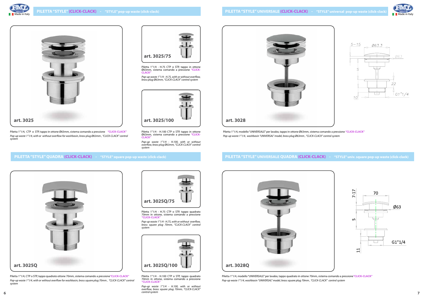











Piletta 1"1/4 - H.75 CTP o STP, tappo in ottone Ø63mm, sistema comando a pressione **"CLICK-CLACK"** 

*Pop-up waste 1"1/4 - H.75, with or without overflow, brass plug Ø63mm, "CLICK-CLACK" control system*

Piletta 1"1/4, CTP o STP, tappo in ottone Ø63mm, sistema comando a pressione **"CLICK-CLACK"**  *Pop-up waste 1"1/4, with or without overflow for washbasin, brass plug Ø63mm , "CLICK-CLACK" control system*

Piletta 1"1/4 - H.100 CTP o STP, tappo in ottone Ø63mm, sistema comando a pressione **"CLICK-CLACK"** 

*Pop-up waste 1"1/4 - H.100, with or without overflow, brass plug Ø63mm, "CLICK-CLACK" control system*

Piletta 1"1/4 - H.75 CTP o STP, tappo quadrato 70mm in ottone, sistema comando a pressione **"CLICK-CLACK"** 

*Pop-up waste 1"1/4 - H.75, with or without overflow, brass square plug 70mm, "CLICK-CLACK" control system*

Piletta 1"1/4, CTP o STP, tappo quadrato ottone 70mm, sistema comando a pressione**"CLICK-CLACK"**  *Pop-up waste 1"1/4, with or without overflow for washbasin, brass square plug 70mm , "CLICK-CLACK" control system*



Piletta 1"1/4 - H.100 CTP o STP, tappo quadrato 70mm in ottone, sistema comando a pressione **"CLICK-CLACK"** 

Piletta 1"1/4, modello "UNIVERSALE" per lavabo, tappo in ottone Ø63mm, sistema comando a pressione **"CLICK-CLACK"**  *Pop-up waste 1"1/4, washbasin "UNIVERSAL" model, brass plug Ø63mm , "CLICK-CLACK" control system*

*Pop-up waste 1"1/4 - H.100, with or without overflow, brass square plug 70mm, "CLICK-CLACK" control system* **6 7**





Piletta 1"1/4, modello "UNIVERSALE" per lavabo, tappo quadrato in ottone 70mm, sistema comando a pressione**"CLICK-CLACK"**  *Pop-up waste 1"1/4, washbasin "UNIVERSAL" model, brass square plug 70mm , "CLICK-CLACK" control system*





#### **PILETTA "STYLE" UNIVERSALE QUADRA (CLICK-CLACK) - "STYLE" univ. square pop-up waste (click-clack)**

#### **PILETTA "STYLE" QUADRA (CLICK-CLACK) - "STYLE" square pop-up waste (click-clack)**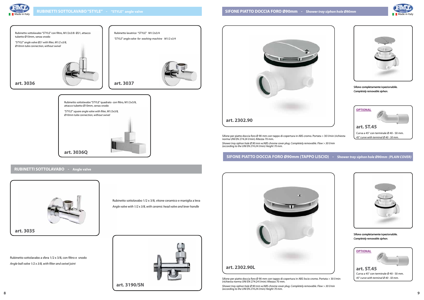

Rubinetto sottolavabo 1/2 x 3/8, vitone ceramico e maniglia a leva *Angle valve with 1/2 x 3/8, with ceramic head valve and lever handle*

Rubinetto sottolavabo a sfera 1/2 x 3/8, con filtro e snodo *Angle ball valve 1/2 x 3/8, with filter and swivel joint*







#### **RUBINETTI SOTTOLAVABO - Angle valve**

norma UNI EN 274:24 l/min) Altezza 70 mm.

*Shower tray siphon hole Ø 90 mm w/ABS chrome cover plug. Completely removable. Flow > 30 l/min (according to the UNI EN 274:24 l/min) Height 70 mm.*

(richiesta norma UNI EN 274:24 l/min) Altezza 70 mm.



*Shower tray siphon hole Ø 90 mm w/ABS chrome cover plug. Completely removable. Flow > 30 l/min (according to the UNI EN 274:24 l/min) Height 70 mm.*





#### **SIFONE PIATTO DOCCIA FORO Ø90mm (TAPPO LISCIO) - Shower** *tray siphon hole Ø90mm (PLAIN COVER)*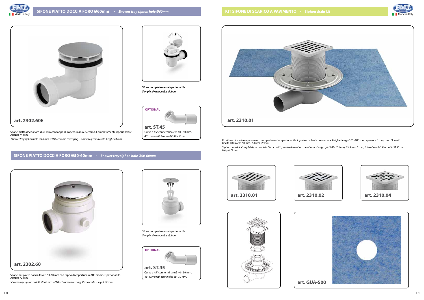

Kit sifone di scarico a pavimento completamente ispezionabile + guaina isolante preformata. Griglia design 105x105 mm, spessore 5 mm, mod. "Linea". Uscita laterale Ø 50 mm. *Altezza 79 mm.*

*Siphon drain kit. Completely removable. Comes with pre-sized isolation membrane. Design grid 105x105 mm, thickness 5 mm, "Linea" model. Side outlet Ø 50 mm. Height 79 mm.*





Sifone completamente ispezionabile. *Completely removable siphon.* 

Sifone piatto doccia foro Ø 60 mm con tappo di copertura in ABS cromo. Completamente ispezionabile. Altezza 74 mm.

 *Shower tray siphon hole Ø 60 mm w/ABS chrome cover plug. Completely removable. height 74 mm.* 

Sifone per piatto doccia foro Ø 50-60 mm con tappo di copertura in ABS cromo. Ispezionabile. Altezza 72 mm.

*Shower tray siphon hole Ø 50-60 mm w/ABS chromecover plug. Removable. Height 72 mm.*





Sifone completamente ispezionabile. *Completely removable siphon.* 

Curva a 45° con terminale Ø 40 - 50 mm. *45° curve with terminal Ø 40 - 50 mm.*

Curva a 45° con terminale Ø 40 - 50 mm. *45° curve with terminal Ø 40 - 50 mm.*

**art. ST.45**



## **SIFONE PIATTO DOCCIA FORO Ø50-60mm - Shower** *tray siphon hole Ø50-60mm*















**OPTIONAL**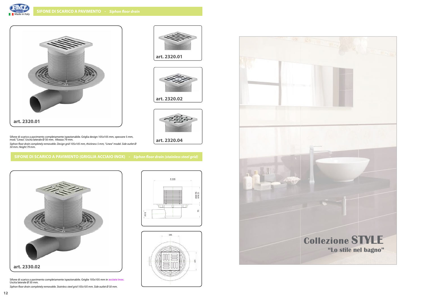Sifone di scarico a pavimento completamente ispezionabile. Griglia design 105x105 mm, spessore 5 mm, mod. "Linea". Uscita laterale Ø 50 mm. Altezza 79 mm.

*Siphon floor drain completely removable. Design grid 105x105 mm, thickness 5 mm, "Linea" model. Side outlet Ø 50 mm. Height 79 mm.*

Sifone di scarico a pavimento completamente ispezionabile. Griglie 105x105 mm in **acciaio inox.**  Uscita laterale Ø 50 mm.

*Siphon floor drain completely removable. Stainless steel grid 105x105 mm. Side outlet Ø 50 mm.* 







**art. 2320.01**







### **SIFONE DI SCARICO A PAVIMENTO (GRIGLIA ACCIAIO INOX) -** *Siphon floor drain (stainless steel grid)*

**art. 2320.04**